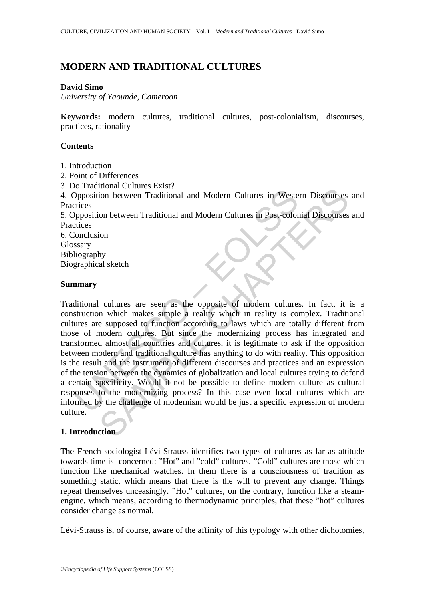# **MODERN AND TRADITIONAL CULTURES**

## **David Simo**

*University of Yaounde, Cameroon* 

**Keywords:** modern cultures, traditional cultures, post-colonialism, discourses, practices, rationality

## **Contents**

- 1. Introduction
- 2. Point of Differences
- 3. Do Traditional Cultures Exist?

4. Opposition between Traditional and Modern Cultures in Western Discourses and Practices

5. Opposition between Traditional and Modern Cultures in Post-colonial Discourses and **Practices** 

6. Conclusion Glossary Bibliography

Biographical sketch

#### **Summary**

Ornamical extrained and Modern Cultures in Wester<br>
Dyposition between Traditional and Modern Cultures in Post-color<br>
retices<br>
proposition between Traditional and Modern Cultures in Post-color<br>
clucities<br>
seary<br>
liography<br> mona cuntures Exactional and Modern Cultures in Western Discourses<br>on between Traditional and Modern Cultures in Post-colonial Discourses<br>on between Traditional and Modern Cultures in Post-colonial Discourses<br>ion<br>hy<br>hy<br>hy<br> Traditional cultures are seen as the opposite of modern cultures. In fact, it is a construction which makes simple a reality which in reality is complex. Traditional cultures are supposed to function according to laws which are totally different from those of modern cultures. But since the modernizing process has integrated and transformed almost all countries and cultures, it is legitimate to ask if the opposition between modern and traditional culture has anything to do with reality. This opposition is the result and the instrument of different discourses and practices and an expression of the tension between the dynamics of globalization and local cultures trying to defend a certain specificity. Would it not be possible to define modern culture as cultural responses to the modernizing process? In this case even local cultures which are informed by the challenge of modernism would be just a specific expression of modern culture.

## **1. Introduction**

The French sociologist Lévi-Strauss identifies two types of cultures as far as attitude towards time is concerned: "Hot" and "cold" cultures. "Cold" cultures are those which function like mechanical watches. In them there is a consciousness of tradition as something static, which means that there is the will to prevent any change. Things repeat themselves unceasingly. "Hot" cultures, on the contrary, function like a steamengine, which means, according to thermodynamic principles, that these "hot" cultures consider change as normal.

Lévi-Strauss is, of course, aware of the affinity of this typology with other dichotomies,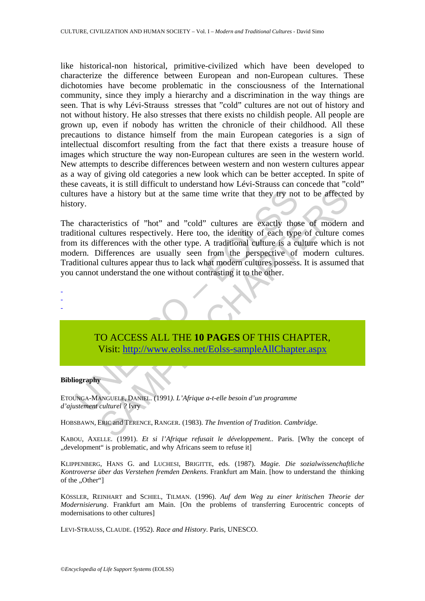like historical-non historical, primitive-civilized which have been developed to characterize the difference between European and non-European cultures. These dichotomies have become problematic in the consciousness of the International community, since they imply a hierarchy and a discrimination in the way things are seen. That is why Lévi-Strauss stresses that "cold" cultures are not out of history and not without history. He also stresses that there exists no childish people. All people are grown up, even if nobody has written the chronicle of their childhood. All these precautions to distance himself from the main European categories is a sign of intellectual discomfort resulting from the fact that there exists a treasure house of images which structure the way non-European cultures are seen in the western world. New attempts to describe differences between western and non western cultures appear as a way of giving old categories a new look which can be better accepted. In spite of these caveats, it is still difficult to understand how Lévi-Strauss can concede that "cold" cultures have a history but at the same time write that they try not to be affected by history.

The state and isotory but at the same time write that they try not<br>ory.<br>
characteristics of "hot" and "cold" cultures are exactly those<br>
intional cultures respectively. Here too, the identity of each type<br>
in its differenc Ive a history but at the same time write that they try not to be affected<br>cteristics of "hot" and "cold" cultures are exactly those of modern<br>cultures respectively. Here too, the identity of each type of culture co<br>fferenc The characteristics of "hot" and "cold" cultures are exactly those of modern and traditional cultures respectively. Here too, the identity of each type of culture comes from its differences with the other type. A traditional culture is a culture which is not modern. Differences are usually seen from the perspective of modern cultures. Traditional cultures appear thus to lack what modern cultures possess. It is assumed that you cannot understand the one without contrasting it to the other.

-

- -

## TO ACCESS ALL THE **10 PAGES** OF THIS CHAPTER, Visit: http://www.eolss.net/Eolss-sampleAllChapter.aspx

#### **Bibliography**

ETOUNGA-MANGUELE, DANIEL. (1991*). L'Afrique a-t-elle besoin d'un programme d'ajustement culturel ?* Ivry

HOBSBAWN, ERIC and TERENCE, RANGER. (1983). *The Invention of Tradition. Cambridge.*

KABOU, AXELLE. (1991). *Et si l'Afrique refusait le développement..* Paris. [Why the concept of ", development" is problematic, and why Africans seem to refuse it.

KLIPPENBERG, HANS G. and LUCHESI, BRIGITTE, eds. (1987). *Magie. Die sozialwissenchaftliche Kontroverse über das Verstehen fremden Denkens*. Frankfurt am Main. [how to understand the thinking of the "Other"]

KÖSSLER, REINHART and SCHIEL, TILMAN. (1996). *Auf dem Weg zu einer kritischen Theorie der Modernisierung*. Frankfurt am Main. [On the problems of transferring Eurocentric concepts of modernisations to other cultures]

LEVI-STRAUSS, CLAUDE. (1952). *Race and History*. Paris, UNESCO.